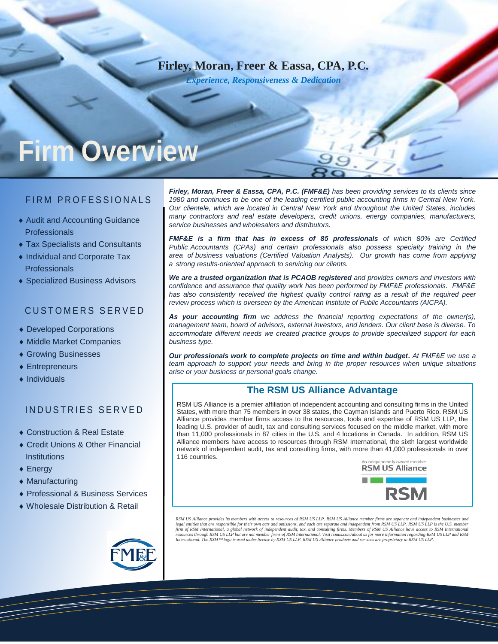# **Firley, Moran, Freer & Eassa, CPA, P.C.**

*Experience, Responsiveness & Dedication* 

# **Firm Overview**

#### FIRM PROFESSIONALS

- Audit and Accounting Guidance **Professionals**
- Tax Specialists and Consultants
- Individual and Corporate Tax **Professionals**
- Specialized Business Advisors

#### CUSTOMERS SERVED

- ◆ Developed Corporations
- Middle Market Companies
- ◆ Growing Businesses
- Entrepreneurs
- $\bullet$  Individuals

#### INDUSTRIES SERVED

- ◆ Construction & Real Estate
- ◆ Credit Unions & Other Financial **Institutions**
- ◆ Energy
- Manufacturing
- Professional & Business Services
- Wholesale Distribution & Retail

*Firley, Moran, Freer & Eassa, CPA, P.C. (FMF&E) has been providing services to its clients since 1980 and continues to be one of the leading certified public accounting firms in Central New York. Our clientele, which are located in Central New York and throughout the United States, includes many contractors and real estate developers, credit unions, energy companies, manufacturers, service businesses and wholesalers and distributors.* 

*FMF&E is a firm that has in excess of 85 professionals of which 80% are Certified Public Accountants (CPAs) and certain professionals also possess specialty training in the area of business valuations (Certified Valuation Analysts). Our growth has come from applying a strong results-oriented approach to servicing our clients.* 

*We are a trusted organization that is PCAOB registered and provides owners and investors with confidence and assurance that quality work has been performed by FMF&E professionals. FMF&E has also consistently received the highest quality control rating as a result of the required peer review process which is overseen by the American Institute of Public Accountants (AICPA).* 

*As your accounting firm we address the financial reporting expectations of the owner(s), management team, board of advisors, external investors, and lenders. Our client base is diverse. To accommodate different needs we created practice groups to provide specialized support for each business type.* 

*Our professionals work to complete projects on time and within budget***.** *At FMF&E we use a team approach to support your needs and bring in the proper resources when unique situations arise or your business or personal goals change.* 

#### **The RSM US Alliance Advantage**

RSM US Alliance is a premier affiliation of independent accounting and consulting firms in the United States, with more than 75 members in over 38 states, the Cayman Islands and Puerto Rico. RSM US Alliance provides member firms access to the resources, tools and expertise of RSM US LLP, the leading U.S. provider of audit, tax and consulting services focused on the middle market, with more than 11,000 professionals in 87 cities in the U.S. and 4 locations in Canada. In addition, RSM US Alliance members have access to resources through RSM International, the sixth largest worldwide network of independent audit, tax and consulting firms, with more than 41,000 professionals in over 116 countries.



RSM US Alliance provides its members with access to resources of RSM US LLP. RSM US Alliance member firms are separate and independent businesses and<br>legal entities that are responsible for their own acts and omissions, an firm of RSM International, a global network of independent audit, tax, and consulting firms. Members of RSM US Alliance have access to RSM International<br>resources through RSM US LLP but are not member firms of RSM Internat